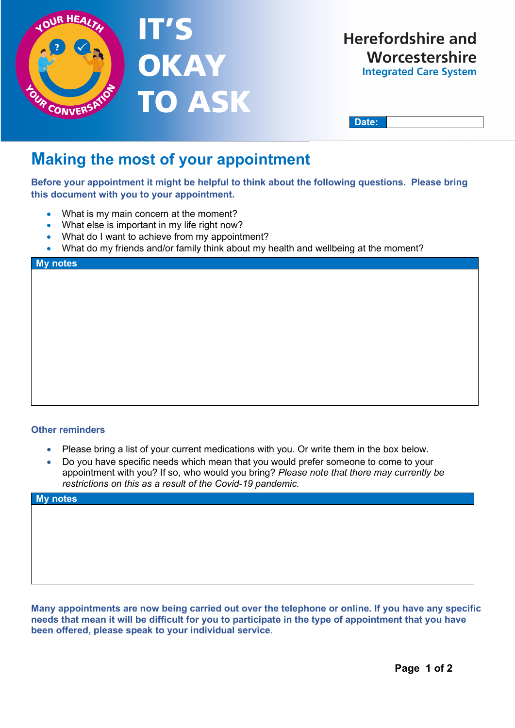

**Date:**

# **Making the most of your appointment**

**Before your appointment it might be helpful to think about the following questions. Please bring this document with you to your appointment.** 

- What is my main concern at the moment?
- What else is important in my life right now?
- What do I want to achieve from my appointment?
- What do my friends and/or family think about my health and wellbeing at the moment?

#### **My notes**

## **Other reminders**

- Please bring a list of your current medications with you. Or write them in the box below.
- Do you have specific needs which mean that you would prefer someone to come to your appointment with you? If so, who would you bring? *Please note that there may currently be restrictions on this as a result of the Covid-19 pandemic.*

| My notes |  |  |
|----------|--|--|
|          |  |  |
|          |  |  |
|          |  |  |
|          |  |  |
|          |  |  |
|          |  |  |
|          |  |  |

**Many appointments are now being carried out over the telephone or online. If you have any specific needs that mean it will be difficult for you to participate in the type of appointment that you have been offered, please speak to your individual service**.